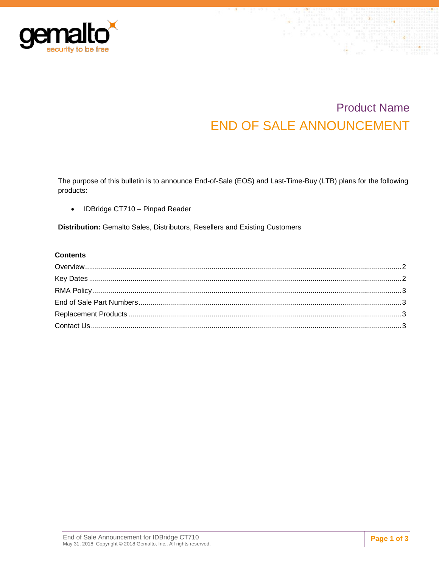

# Product Name END OF SALE ANNOUNCEMENT

The purpose of this bulletin is to announce End-of-Sale (EOS) and Last-Time-Buy (LTB) plans for the following products:

• IDBridge CT710 - Pinpad Reader

**Distribution:** Gemalto Sales, Distributors, Resellers and Existing Customers

#### **Contents**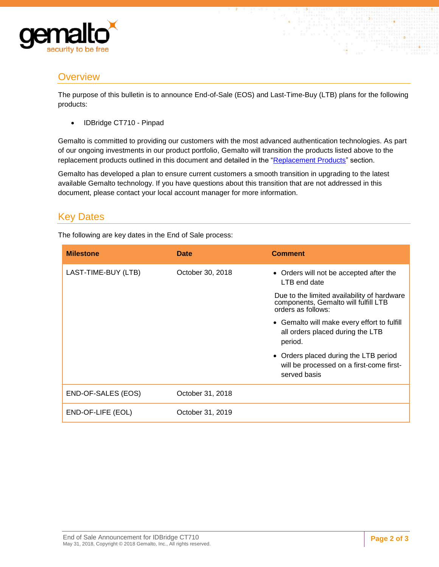

## <span id="page-1-0"></span>**Overview**

The purpose of this bulletin is to announce End-of-Sale (EOS) and Last-Time-Buy (LTB) plans for the following products:

• IDBridge CT710 - Pinpad

Gemalto is committed to providing our customers with the most advanced authentication technologies. As part of our ongoing investments in our product portfolio, Gemalto will transition the products listed above to the replacement products outlined in this document and detailed in the ["Replacement Products"](#page-2-2) section.

Gemalto has developed a plan to ensure current customers a smooth transition in upgrading to the latest available Gemalto technology. If you have questions about this transition that are not addressed in this document, please contact your local account manager for more information.

## <span id="page-1-1"></span>Key Dates

The following are key dates in the End of Sale process:

| <b>Milestone</b>    | Date             | <b>Comment</b>                                                                                            |
|---------------------|------------------|-----------------------------------------------------------------------------------------------------------|
| LAST-TIME-BUY (LTB) | October 30, 2018 | • Orders will not be accepted after the<br>LTB end date                                                   |
|                     |                  | Due to the limited availability of hardware<br>components, Gemalto will fulfill LTB<br>orders as follows: |
|                     |                  | • Gemalto will make every effort to fulfill<br>all orders placed during the LTB<br>period.                |
|                     |                  | • Orders placed during the LTB period<br>will be processed on a first-come first-<br>served basis         |
| END-OF-SALES (EOS)  | October 31, 2018 |                                                                                                           |
| END-OF-LIFE (EOL)   | October 31, 2019 |                                                                                                           |